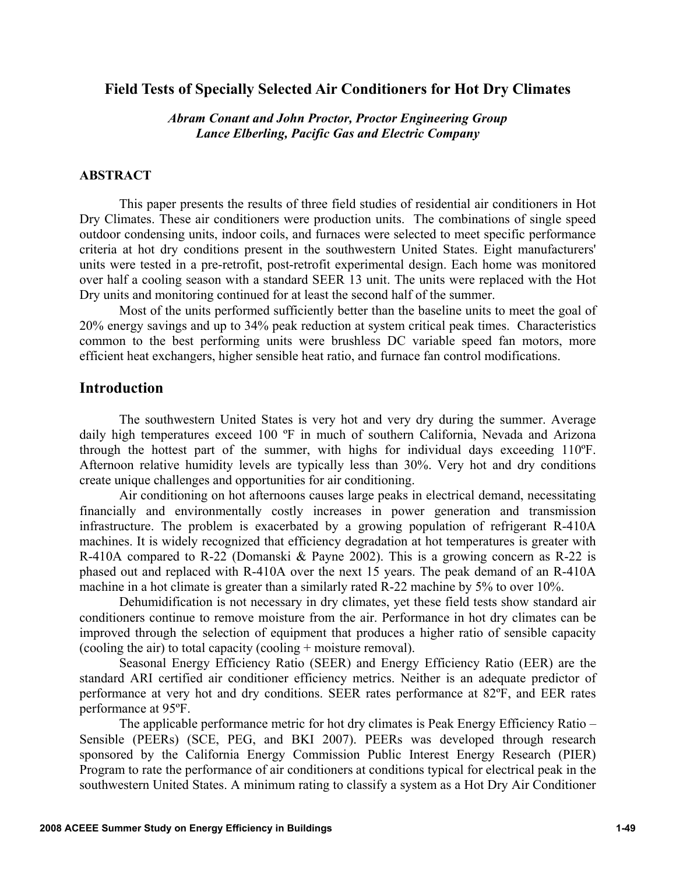## **Field Tests of Specially Selected Air Conditioners for Hot Dry Climates**

*Abram Conant and John Proctor, Proctor Engineering Group Lance Elberling, Pacific Gas and Electric Company* 

### **ABSTRACT**

This paper presents the results of three field studies of residential air conditioners in Hot Dry Climates. These air conditioners were production units. The combinations of single speed outdoor condensing units, indoor coils, and furnaces were selected to meet specific performance criteria at hot dry conditions present in the southwestern United States. Eight manufacturers' units were tested in a pre-retrofit, post-retrofit experimental design. Each home was monitored over half a cooling season with a standard SEER 13 unit. The units were replaced with the Hot Dry units and monitoring continued for at least the second half of the summer.

Most of the units performed sufficiently better than the baseline units to meet the goal of 20% energy savings and up to 34% peak reduction at system critical peak times. Characteristics common to the best performing units were brushless DC variable speed fan motors, more efficient heat exchangers, higher sensible heat ratio, and furnace fan control modifications.

## **Introduction**

The southwestern United States is very hot and very dry during the summer. Average daily high temperatures exceed 100 °F in much of southern California, Nevada and Arizona through the hottest part of the summer, with highs for individual days exceeding 110ºF. Afternoon relative humidity levels are typically less than 30%. Very hot and dry conditions create unique challenges and opportunities for air conditioning.

Air conditioning on hot afternoons causes large peaks in electrical demand, necessitating financially and environmentally costly increases in power generation and transmission infrastructure. The problem is exacerbated by a growing population of refrigerant R-410A machines. It is widely recognized that efficiency degradation at hot temperatures is greater with R-410A compared to R-22 (Domanski & Payne 2002). This is a growing concern as R-22 is phased out and replaced with R-410A over the next 15 years. The peak demand of an R-410A machine in a hot climate is greater than a similarly rated R-22 machine by 5% to over 10%.

Dehumidification is not necessary in dry climates, yet these field tests show standard air conditioners continue to remove moisture from the air. Performance in hot dry climates can be improved through the selection of equipment that produces a higher ratio of sensible capacity (cooling the air) to total capacity (cooling + moisture removal).

Seasonal Energy Efficiency Ratio (SEER) and Energy Efficiency Ratio (EER) are the standard ARI certified air conditioner efficiency metrics. Neither is an adequate predictor of performance at very hot and dry conditions. SEER rates performance at 82ºF, and EER rates performance at 95ºF.

The applicable performance metric for hot dry climates is Peak Energy Efficiency Ratio – Sensible (PEERs) (SCE, PEG, and BKI 2007). PEERs was developed through research sponsored by the California Energy Commission Public Interest Energy Research (PIER) Program to rate the performance of air conditioners at conditions typical for electrical peak in the southwestern United States. A minimum rating to classify a system as a Hot Dry Air Conditioner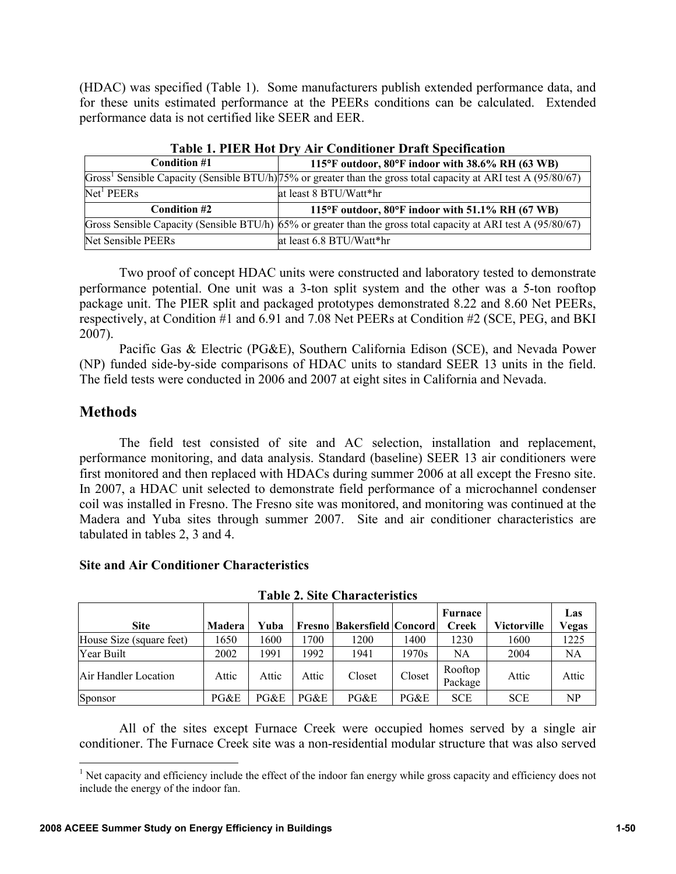(HDAC) was specified (Table 1). Some manufacturers publish extended performance data, and for these units estimated performance at the PEERs conditions can be calculated. Extended performance data is not certified like SEER and EER.

| Condition #1 | 115°F outdoor, 80°F indoor with 38.6% RH (63 WB)                                                                               |
|--------------|--------------------------------------------------------------------------------------------------------------------------------|
|              | Gross <sup>1</sup> Sensible Capacity (Sensible BTU/h) $75\%$ or greater than the gross total capacity at ARI test A (95/80/67) |
| Net' PEERs   | at least 8 BTU/Watt*hr                                                                                                         |
| Condition #2 |                                                                                                                                |
|              | 115°F outdoor, 80°F indoor with 51.1% RH (67 WB)                                                                               |
|              | Gross Sensible Capacity (Sensible BTU/h) 65% or greater than the gross total capacity at ARI test A (95/80/67)                 |

**Table 1. PIER Hot Dry Air Conditioner Draft Specification** 

Two proof of concept HDAC units were constructed and laboratory tested to demonstrate performance potential. One unit was a 3-ton split system and the other was a 5-ton rooftop package unit. The PIER split and packaged prototypes demonstrated 8.22 and 8.60 Net PEERs, respectively, at Condition #1 and 6.91 and 7.08 Net PEERs at Condition #2 (SCE, PEG, and BKI 2007).

Pacific Gas & Electric (PG&E), Southern California Edison (SCE), and Nevada Power (NP) funded side-by-side comparisons of HDAC units to standard SEER 13 units in the field. The field tests were conducted in 2006 and 2007 at eight sites in California and Nevada.

# **Methods**

The field test consisted of site and AC selection, installation and replacement, performance monitoring, and data analysis. Standard (baseline) SEER 13 air conditioners were first monitored and then replaced with HDACs during summer 2006 at all except the Fresno site. In 2007, a HDAC unit selected to demonstrate field performance of a microchannel condenser coil was installed in Fresno. The Fresno site was monitored, and monitoring was continued at the Madera and Yuba sites through summer 2007. Site and air conditioner characteristics are tabulated in tables 2, 3 and 4.

| l adie 2. Site Chafacteristics |        |       |       |                                |        |                         |             |              |  |  |
|--------------------------------|--------|-------|-------|--------------------------------|--------|-------------------------|-------------|--------------|--|--|
| <b>Site</b>                    | Madera | Yuba  |       | Fresno   Bakersfield   Concord |        | Furnace<br><b>Creek</b> | Victorville | Las<br>Vegas |  |  |
| House Size (square feet)       | 1650   | 1600  | 1700  | 1200                           | 1400   | 1230                    | 1600        | 1225         |  |  |
| Year Built                     | 2002   | 1991  | 1992  | 1941                           | 1970s  | NA                      | 2004        | NA           |  |  |
| Air Handler Location           | Attic  | Attic | Attic | Closet                         | Closet | Rooftop<br>Package      | Attic       | Attic        |  |  |
| Sponsor                        | PG&E   | PG&E  | PG&E  | PG&E                           | PG&E   | <b>SCE</b>              | <b>SCE</b>  | NP           |  |  |

**Site and Air Conditioner Characteristics** 

**Table 2. Site Characteristics** 

All of the sites except Furnace Creek were occupied homes served by a single air conditioner. The Furnace Creek site was a non-residential modular structure that was also served

<sup>&</sup>lt;sup>1</sup> Net capacity and efficiency include the effect of the indoor fan energy while gross capacity and efficiency does not include the energy of the indoor fan.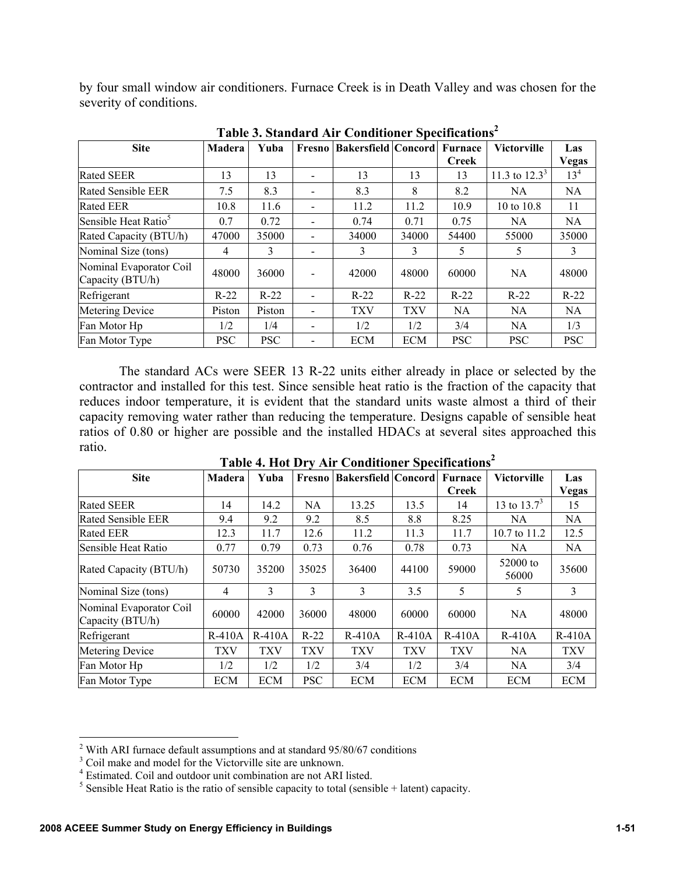by four small window air conditioners. Furnace Creek is in Death Valley and was chosen for the severity of conditions.

| <b>Site</b>                                 | <b>Madera</b> | Yuba       | Fresno | <b>Bakersfield Concord</b> |            | <b>Furnace</b><br><b>Creek</b> | <b>Victorville</b> | Las<br><b>Vegas</b> |
|---------------------------------------------|---------------|------------|--------|----------------------------|------------|--------------------------------|--------------------|---------------------|
| <b>Rated SEER</b>                           | 13            | 13         |        | 13                         | 13         | 13                             | 11.3 to $12.3^3$   | 13 <sup>4</sup>     |
| <b>Rated Sensible EER</b>                   | 7.5           | 8.3        |        | 8.3                        | 8          | 8.2                            | <b>NA</b>          | <b>NA</b>           |
| <b>Rated EER</b>                            | 10.8          | 11.6       |        | 11.2                       | 11.2       | 10.9                           | 10 to 10.8         | 11                  |
| Sensible Heat Ratio <sup>5</sup>            | 0.7           | 0.72       |        | 0.74                       | 0.71       | 0.75                           | NA.                | NA.                 |
| Rated Capacity (BTU/h)                      | 47000         | 35000      |        | 34000                      | 34000      | 54400                          | 55000              | 35000               |
| Nominal Size (tons)                         | 4             | 3          |        | 3                          | 3          | 5                              | 5                  | 3                   |
| Nominal Evaporator Coil<br>Capacity (BTU/h) | 48000         | 36000      |        | 42000                      | 48000      | 60000                          | NA.                | 48000               |
| Refrigerant                                 | $R-22$        | $R-22$     |        | $R-22$                     | $R-22$     | $R-22$                         | $R-22$             | $R-22$              |
| Metering Device                             | Piston        | Piston     |        | <b>TXV</b>                 | <b>TXV</b> | NA.                            | NA.                | NA.                 |
| Fan Motor Hp                                | 1/2           | 1/4        |        | 1/2                        | 1/2        | 3/4                            | NA.                | 1/3                 |
| Fan Motor Type                              | <b>PSC</b>    | <b>PSC</b> |        | <b>ECM</b>                 | <b>ECM</b> | <b>PSC</b>                     | <b>PSC</b>         | <b>PSC</b>          |

**Table 3. Standard Air Conditioner Specifications2**

The standard ACs were SEER 13 R-22 units either already in place or selected by the contractor and installed for this test. Since sensible heat ratio is the fraction of the capacity that reduces indoor temperature, it is evident that the standard units waste almost a third of their capacity removing water rather than reducing the temperature. Designs capable of sensible heat ratios of 0.80 or higher are possible and the installed HDACs at several sites approached this ratio.

| <b>Site</b>                                 | Madera     | Yuba       | Fresno     | <b>Bakersfield Concord Furnace</b> |            |              | <b>Victorville</b> | Las          |
|---------------------------------------------|------------|------------|------------|------------------------------------|------------|--------------|--------------------|--------------|
|                                             |            |            |            |                                    |            | <b>Creek</b> |                    | <b>Vegas</b> |
| <b>Rated SEER</b>                           | 14         | 14.2       | NA         | 13.25                              | 13.5       | 14           | 13 to $13.7^3$     | 15           |
| <b>Rated Sensible EER</b>                   | 9.4        | 9.2        | 9.2        | 8.5                                | 8.8        | 8.25         | NA.                | <b>NA</b>    |
| <b>Rated EER</b>                            | 12.3       | 11.7       | 12.6       | 11.2                               | 11.3       | 11.7         | 10.7 to 11.2       | 12.5         |
| Sensible Heat Ratio                         | 0.77       | 0.79       | 0.73       | 0.76                               | 0.78       | 0.73         | <b>NA</b>          | NA           |
| Rated Capacity (BTU/h)                      | 50730      | 35200      | 35025      | 36400                              | 44100      | 59000        | 52000 to<br>56000  | 35600        |
| Nominal Size (tons)                         | 4          | 3          | 3          | 3                                  | 3.5        | 5            | 5                  | 3            |
| Nominal Evaporator Coil<br>Capacity (BTU/h) | 60000      | 42000      | 36000      | 48000                              | 60000      | 60000        | <b>NA</b>          | 48000        |
| Refrigerant                                 | $R-410A$   | $R-410A$   | $R-22$     | $R-410A$                           | $R-410A$   | $R-410A$     | $R-410A$           | $R-410A$     |
| Metering Device                             | <b>TXV</b> | <b>TXV</b> | <b>TXV</b> | <b>TXV</b>                         | <b>TXV</b> | <b>TXV</b>   | <b>NA</b>          | <b>TXV</b>   |
| Fan Motor Hp                                | 1/2        | 1/2        | 1/2        | 3/4                                | 1/2        | 3/4          | <b>NA</b>          | 3/4          |
| Fan Motor Type                              | <b>ECM</b> | <b>ECM</b> | <b>PSC</b> | <b>ECM</b>                         | <b>ECM</b> | <b>ECM</b>   | <b>ECM</b>         | <b>ECM</b>   |

**Table 4. Hot Dry Air Conditioner Specifications2**

<sup>&</sup>lt;sup>2</sup> With ARI furnace default assumptions and at standard  $95/80/67$  conditions  $3\text{ }$  Coil make and model for the Vieteruille site are unknown.

<sup>&</sup>lt;sup>3</sup> Coil make and model for the Victorville site are unknown.

<sup>4</sup> Estimated. Coil and outdoor unit combination are not ARI listed.

<sup>&</sup>lt;sup>5</sup> Sensible Heat Ratio is the ratio of sensible capacity to total (sensible  $+$  latent) capacity.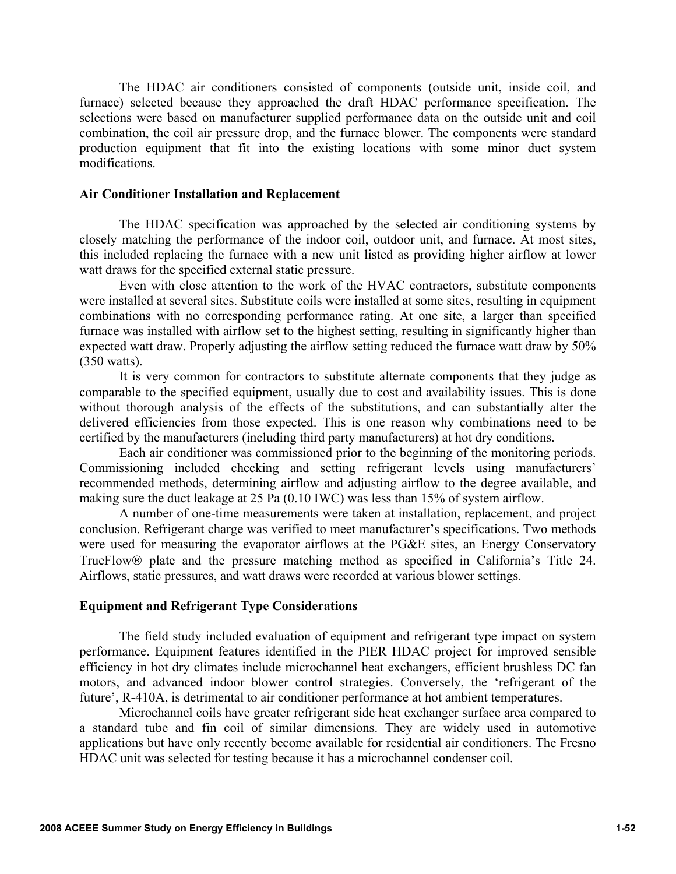The HDAC air conditioners consisted of components (outside unit, inside coil, and furnace) selected because they approached the draft HDAC performance specification. The selections were based on manufacturer supplied performance data on the outside unit and coil combination, the coil air pressure drop, and the furnace blower. The components were standard production equipment that fit into the existing locations with some minor duct system modifications.

#### **Air Conditioner Installation and Replacement**

The HDAC specification was approached by the selected air conditioning systems by closely matching the performance of the indoor coil, outdoor unit, and furnace. At most sites, this included replacing the furnace with a new unit listed as providing higher airflow at lower watt draws for the specified external static pressure.

Even with close attention to the work of the HVAC contractors, substitute components were installed at several sites. Substitute coils were installed at some sites, resulting in equipment combinations with no corresponding performance rating. At one site, a larger than specified furnace was installed with airflow set to the highest setting, resulting in significantly higher than expected watt draw. Properly adjusting the airflow setting reduced the furnace watt draw by 50% (350 watts).

It is very common for contractors to substitute alternate components that they judge as comparable to the specified equipment, usually due to cost and availability issues. This is done without thorough analysis of the effects of the substitutions, and can substantially alter the delivered efficiencies from those expected. This is one reason why combinations need to be certified by the manufacturers (including third party manufacturers) at hot dry conditions.

Each air conditioner was commissioned prior to the beginning of the monitoring periods. Commissioning included checking and setting refrigerant levels using manufacturers' recommended methods, determining airflow and adjusting airflow to the degree available, and making sure the duct leakage at 25 Pa (0.10 IWC) was less than 15% of system airflow.

A number of one-time measurements were taken at installation, replacement, and project conclusion. Refrigerant charge was verified to meet manufacturer's specifications. Two methods were used for measuring the evaporator airflows at the PG&E sites, an Energy Conservatory TrueFlow® plate and the pressure matching method as specified in California's Title 24. Airflows, static pressures, and watt draws were recorded at various blower settings.

#### **Equipment and Refrigerant Type Considerations**

The field study included evaluation of equipment and refrigerant type impact on system performance. Equipment features identified in the PIER HDAC project for improved sensible efficiency in hot dry climates include microchannel heat exchangers, efficient brushless DC fan motors, and advanced indoor blower control strategies. Conversely, the 'refrigerant of the future', R-410A, is detrimental to air conditioner performance at hot ambient temperatures.

Microchannel coils have greater refrigerant side heat exchanger surface area compared to a standard tube and fin coil of similar dimensions. They are widely used in automotive applications but have only recently become available for residential air conditioners. The Fresno HDAC unit was selected for testing because it has a microchannel condenser coil.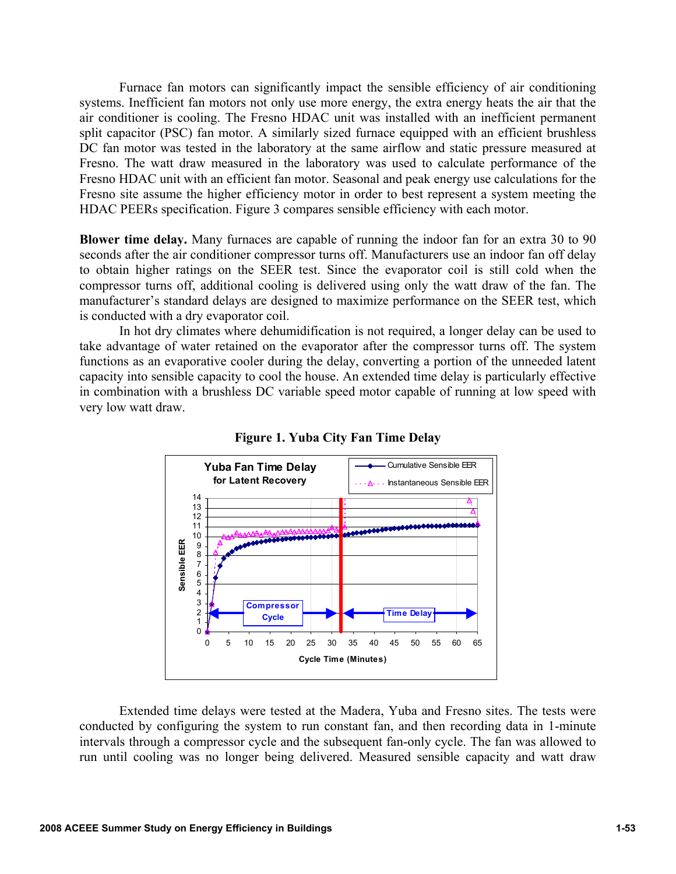Furnace fan motors can significantly impact the sensible efficiency of air conditioning systems. Inefficient fan motors not only use more energy, the extra energy heats the air that the air conditioner is cooling. The Fresno HDAC unit was installed with an inefficient permanent split capacitor (PSC) fan motor. A similarly sized furnace equipped with an efficient brushless DC fan motor was tested in the laboratory at the same airflow and static pressure measured at Fresno. The watt draw measured in the laboratory was used to calculate performance of the Fresno HDAC unit with an efficient fan motor. Seasonal and peak energy use calculations for the Fresno site assume the higher efficiency motor in order to best represent a system meeting the HDAC PEERs specification. Figure 3 compares sensible efficiency with each motor.

**Blower time delay.** Many furnaces are capable of running the indoor fan for an extra 30 to 90 seconds after the air conditioner compressor turns off. Manufacturers use an indoor fan off delay to obtain higher ratings on the SEER test. Since the evaporator coil is still cold when the compressor turns off, additional cooling is delivered using only the watt draw of the fan. The manufacturer's standard delays are designed to maximize performance on the SEER test, which is conducted with a dry evaporator coil.

In hot dry climates where dehumidification is not required, a longer delay can be used to take advantage of water retained on the evaporator after the compressor turns off. The system functions as an evaporative cooler during the delay, converting a portion of the unneeded latent capacity into sensible capacity to cool the house. An extended time delay is particularly effective in combination with a brushless DC variable speed motor capable of running at low speed with very low watt draw.



**Figure 1. Yuba City Fan Time Delay** 

Extended time delays were tested at the Madera, Yuba and Fresno sites. The tests were conducted by configuring the system to run constant fan, and then recording data in 1-minute intervals through a compressor cycle and the subsequent fan-only cycle. The fan was allowed to run until cooling was no longer being delivered. Measured sensible capacity and watt draw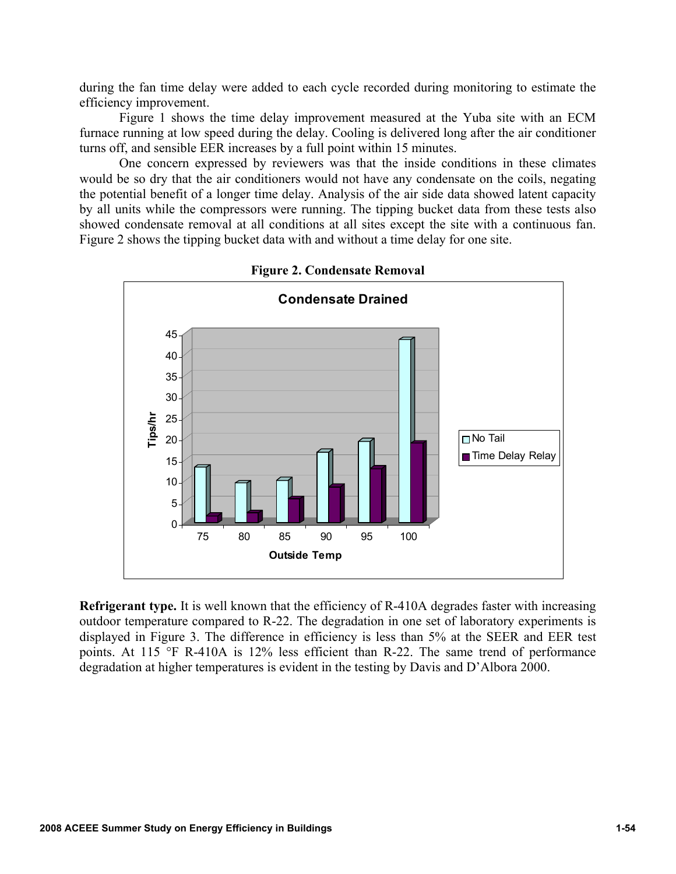during the fan time delay were added to each cycle recorded during monitoring to estimate the efficiency improvement.

Figure 1 shows the time delay improvement measured at the Yuba site with an ECM furnace running at low speed during the delay. Cooling is delivered long after the air conditioner turns off, and sensible EER increases by a full point within 15 minutes.

One concern expressed by reviewers was that the inside conditions in these climates would be so dry that the air conditioners would not have any condensate on the coils, negating the potential benefit of a longer time delay. Analysis of the air side data showed latent capacity by all units while the compressors were running. The tipping bucket data from these tests also showed condensate removal at all conditions at all sites except the site with a continuous fan. Figure 2 shows the tipping bucket data with and without a time delay for one site.



**Figure 2. Condensate Removal** 

**Refrigerant type.** It is well known that the efficiency of R-410A degrades faster with increasing outdoor temperature compared to R-22. The degradation in one set of laboratory experiments is displayed in Figure 3. The difference in efficiency is less than 5% at the SEER and EER test points. At 115 °F R-410A is 12% less efficient than R-22. The same trend of performance degradation at higher temperatures is evident in the testing by Davis and D'Albora 2000.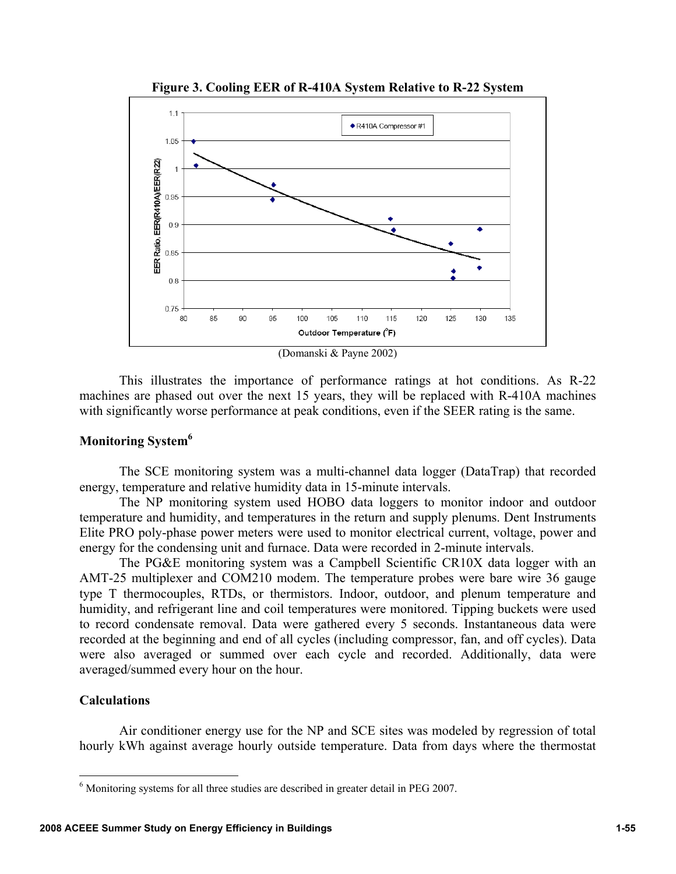

**Figure 3. Cooling EER of R-410A System Relative to R-22 System** 

This illustrates the importance of performance ratings at hot conditions. As R-22 machines are phased out over the next 15 years, they will be replaced with R-410A machines with significantly worse performance at peak conditions, even if the SEER rating is the same.

### **Monitoring System6**

The SCE monitoring system was a multi-channel data logger (DataTrap) that recorded energy, temperature and relative humidity data in 15-minute intervals.

The NP monitoring system used HOBO data loggers to monitor indoor and outdoor temperature and humidity, and temperatures in the return and supply plenums. Dent Instruments Elite PRO poly-phase power meters were used to monitor electrical current, voltage, power and energy for the condensing unit and furnace. Data were recorded in 2-minute intervals.

The PG&E monitoring system was a Campbell Scientific CR10X data logger with an AMT-25 multiplexer and COM210 modem. The temperature probes were bare wire 36 gauge type T thermocouples, RTDs, or thermistors. Indoor, outdoor, and plenum temperature and humidity, and refrigerant line and coil temperatures were monitored. Tipping buckets were used to record condensate removal. Data were gathered every 5 seconds. Instantaneous data were recorded at the beginning and end of all cycles (including compressor, fan, and off cycles). Data were also averaged or summed over each cycle and recorded. Additionally, data were averaged/summed every hour on the hour.

### **Calculations**

 $\overline{a}$ 

Air conditioner energy use for the NP and SCE sites was modeled by regression of total hourly kWh against average hourly outside temperature. Data from days where the thermostat

 $6$  Monitoring systems for all three studies are described in greater detail in PEG 2007.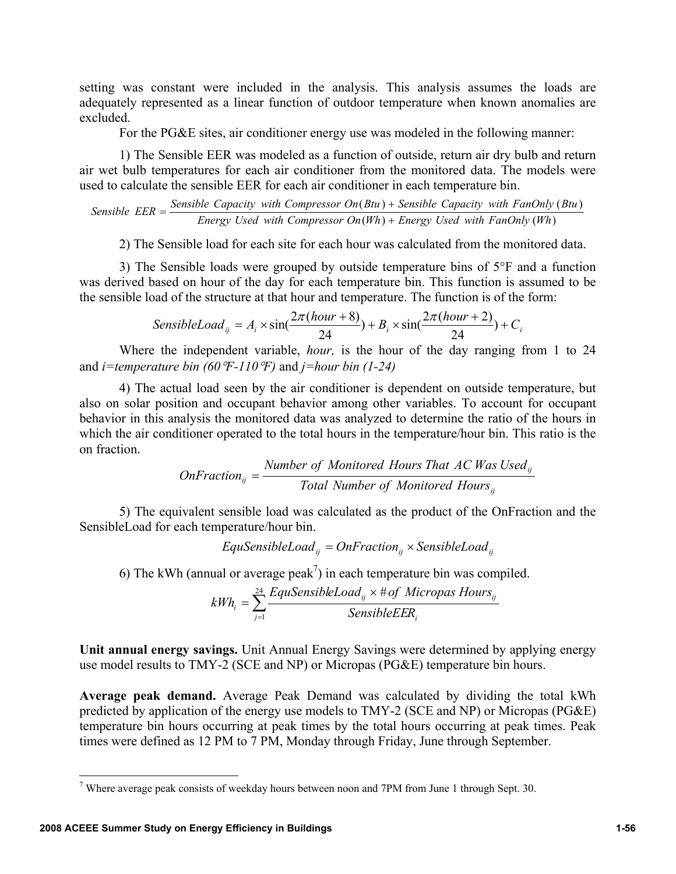setting was constant were included in the analysis. This analysis assumes the loads are adequately represented as a linear function of outdoor temperature when known anomalies are excluded.

For the PG&E sites, air conditioner energy use was modeled in the following manner:

1) The Sensible EER was modeled as a function of outside, return air dry bulb and return air wet bulb temperatures for each air conditioner from the monitored data. The models were used to calculate the sensible EER for each air conditioner in each temperature bin.

 $(Wh)$  + Energy Used with FanOnly  $(Wh)$  $(Btu)$  + Sensible Capacity with FanOnly  $(Btu)$ *Energy Used with Compressor On Wh Energy Used with FanOnly Wh Sensible*  $EER = \frac{Sensible Capacity with Compression On(Btu) + Sensible Capacity with FanOnly (Btu)}{Energy Used with Compression On(Wh) + Energy Used with FanOnly (Wh)}$  $=\frac{\text{Sensible Capacity with Compression On (Btu)}+}{\frac{1}{2}}$ 

2) The Sensible load for each site for each hour was calculated from the monitored data.

3) The Sensible loads were grouped by outside temperature bins of 5°F and a function was derived based on hour of the day for each temperature bin. This function is assumed to be the sensible load of the structure at that hour and temperature. The function is of the form:

SensibleLoad<sub>ij</sub> = 
$$
A_i \times \sin(\frac{2\pi(hour + 8)}{24}) + B_i \times \sin(\frac{2\pi(hour + 2)}{24}) + C_i
$$

Where the independent variable, *hour,* is the hour of the day ranging from 1 to 24 and *i=temperature bin (60*°*F-110*°*F)* and *j=hour bin (1-24)*

4) The actual load seen by the air conditioner is dependent on outside temperature, but also on solar position and occupant behavior among other variables. To account for occupant behavior in this analysis the monitored data was analyzed to determine the ratio of the hours in which the air conditioner operated to the total hours in the temperature/hour bin. This ratio is the on fraction.

$$
OnFraction_{ij} = \frac{Number\ of\ Monitored\ Hours\ That\ AC\ Was\ Used_{ij}}{Total\ Number\ of\ Monitored\ Hours_{ij}}
$$

5) The equivalent sensible load was calculated as the product of the OnFraction and the SensibleLoad for each temperature/hour bin.

$$
EquSensible Load_{ij} = OnFraction_{ij} \times SensibleLoad_{ij}
$$

6) The kWh (annual or average peak<sup>7</sup>) in each temperature bin was compiled.

$$
kWh_i = \sum_{j=1}^{24} \frac{EquSensibleLoad_{ij} \times # of \; Micropas \; Hours_{ij}}{Sensible EER_i}
$$

**Unit annual energy savings.** Unit Annual Energy Savings were determined by applying energy use model results to TMY-2 (SCE and NP) or Micropas (PG&E) temperature bin hours.

**Average peak demand.** Average Peak Demand was calculated by dividing the total kWh predicted by application of the energy use models to TMY-2 (SCE and NP) or Micropas (PG&E) temperature bin hours occurring at peak times by the total hours occurring at peak times. Peak times were defined as 12 PM to 7 PM, Monday through Friday, June through September.

<u>.</u>

<sup>&</sup>lt;sup>7</sup> Where average peak consists of weekday hours between noon and 7PM from June 1 through Sept. 30.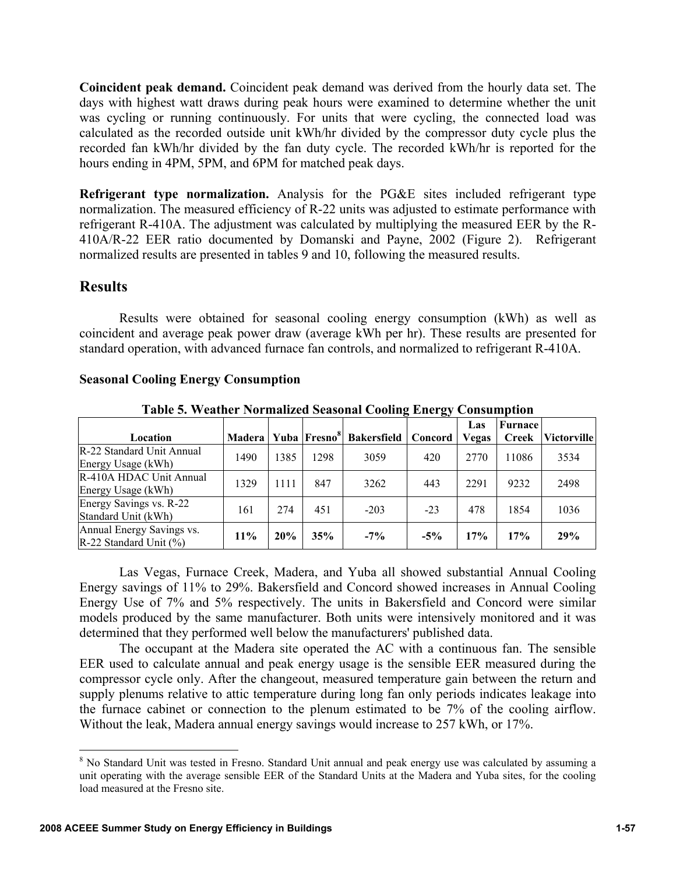**Coincident peak demand.** Coincident peak demand was derived from the hourly data set. The days with highest watt draws during peak hours were examined to determine whether the unit was cycling or running continuously. For units that were cycling, the connected load was calculated as the recorded outside unit kWh/hr divided by the compressor duty cycle plus the recorded fan kWh/hr divided by the fan duty cycle. The recorded kWh/hr is reported for the hours ending in 4PM, 5PM, and 6PM for matched peak days.

**Refrigerant type normalization.** Analysis for the PG&E sites included refrigerant type normalization. The measured efficiency of R-22 units was adjusted to estimate performance with refrigerant R-410A. The adjustment was calculated by multiplying the measured EER by the R-410A/R-22 EER ratio documented by Domanski and Payne, 2002 (Figure 2). Refrigerant normalized results are presented in tables 9 and 10, following the measured results.

## **Results**

 $\overline{a}$ 

Results were obtained for seasonal cooling energy consumption (kWh) as well as coincident and average peak power draw (average kWh per hr). These results are presented for standard operation, with advanced furnace fan controls, and normalized to refrigerant R-410A.

| Location                                               | Madera   Yuba   Fresno <sup>8</sup>   . |      |      | <b>Bakersfield</b> | Concord | Las<br><b>Vegas</b> | Furnace<br>Creek | Victorville |
|--------------------------------------------------------|-----------------------------------------|------|------|--------------------|---------|---------------------|------------------|-------------|
| R-22 Standard Unit Annual<br>Energy Usage (kWh)        | 1490                                    | 1385 | 1298 | 3059               | 420     | 2770                | 11086            | 3534        |
| R-410A HDAC Unit Annual<br>Energy Usage (kWh)          | 1329                                    | 1111 | 847  | 3262               | 443     | 2291                | 9232             | 2498        |
| Energy Savings vs. R-22<br>Standard Unit (kWh)         | 161                                     | 274  | 451  | $-203$             | $-23$   | 478                 | 1854             | 1036        |
| Annual Energy Savings vs.<br>R-22 Standard Unit $(\%)$ | 11%                                     | 20%  | 35%  | $-7\%$             | $-5\%$  | 17%                 | 17%              | 29%         |

**Seasonal Cooling Energy Consumption** 

**Table 5. Weather Normalized Seasonal Cooling Energy Consumption** 

Las Vegas, Furnace Creek, Madera, and Yuba all showed substantial Annual Cooling Energy savings of 11% to 29%. Bakersfield and Concord showed increases in Annual Cooling Energy Use of 7% and 5% respectively. The units in Bakersfield and Concord were similar models produced by the same manufacturer. Both units were intensively monitored and it was determined that they performed well below the manufacturers' published data.

The occupant at the Madera site operated the AC with a continuous fan. The sensible EER used to calculate annual and peak energy usage is the sensible EER measured during the compressor cycle only. After the changeout, measured temperature gain between the return and supply plenums relative to attic temperature during long fan only periods indicates leakage into the furnace cabinet or connection to the plenum estimated to be 7% of the cooling airflow. Without the leak, Madera annual energy savings would increase to 257 kWh, or 17%.

<sup>&</sup>lt;sup>8</sup> No Standard Unit was tested in Fresno. Standard Unit annual and peak energy use was calculated by assuming a unit operating with the average sensible EER of the Standard Units at the Madera and Yuba sites, for the cooling load measured at the Fresno site.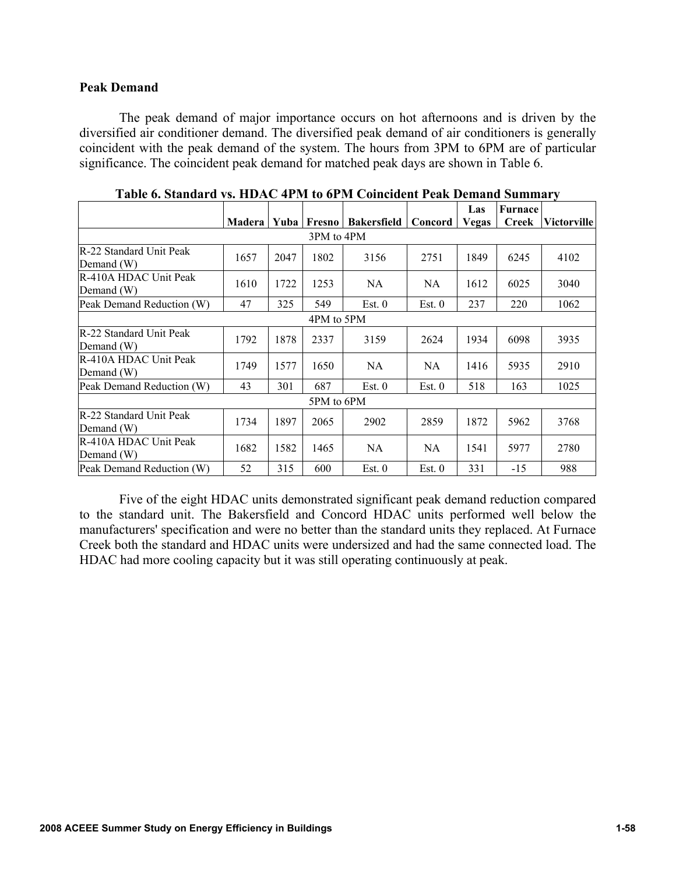### **Peak Demand**

The peak demand of major importance occurs on hot afternoons and is driven by the diversified air conditioner demand. The diversified peak demand of air conditioners is generally coincident with the peak demand of the system. The hours from 3PM to 6PM are of particular significance. The coincident peak demand for matched peak days are shown in Table 6.

|                                              |            |        |            |                    |           | Las          | Furnace |                    |  |
|----------------------------------------------|------------|--------|------------|--------------------|-----------|--------------|---------|--------------------|--|
|                                              | Madera     | Yuba l | Fresno     | <b>Bakersfield</b> | Concord   | <b>Vegas</b> | Creek   | <b>Victorville</b> |  |
|                                              |            |        | 3PM to 4PM |                    |           |              |         |                    |  |
| <b>R-22 Standard Unit Peak</b><br>Demand (W) | 1657       | 2047   | 1802       | 3156               | 2751      | 1849         | 6245    | 4102               |  |
| R-410A HDAC Unit Peak<br>Demand (W)          | 1610       | 1722   | 1253       | NA.                | <b>NA</b> | 1612         | 6025    | 3040               |  |
| Peak Demand Reduction (W)                    | 47         | 325    | 549        | Est. 0             | Est. 0    | 237          | 220     | 1062               |  |
|                                              | 4PM to 5PM |        |            |                    |           |              |         |                    |  |
| R-22 Standard Unit Peak<br>Demand $(W)$      | 1792       | 1878   | 2337       | 3159               | 2624      | 1934         | 6098    | 3935               |  |
| R-410A HDAC Unit Peak<br>Demand $(W)$        | 1749       | 1577   | 1650       | <b>NA</b>          | <b>NA</b> | 1416         | 5935    | 2910               |  |
| Peak Demand Reduction (W)                    | 43         | 301    | 687        | Est. 0             | Est. 0    | 518          | 163     | 1025               |  |
|                                              |            |        | 5PM to 6PM |                    |           |              |         |                    |  |
| R-22 Standard Unit Peak<br>Demand $(W)$      | 1734       | 1897   | 2065       | 2902               | 2859      | 1872         | 5962    | 3768               |  |
| R-410A HDAC Unit Peak<br>Demand (W)          | 1682       | 1582   | 1465       | NA.                | NA        | 1541         | 5977    | 2780               |  |
| Peak Demand Reduction (W)                    | 52         | 315    | 600        | Est. 0             | Est. 0    | 331          | $-15$   | 988                |  |

|  |  | Table 6. Standard vs. HDAC 4PM to 6PM Coincident Peak Demand Summary |  |
|--|--|----------------------------------------------------------------------|--|
|--|--|----------------------------------------------------------------------|--|

Five of the eight HDAC units demonstrated significant peak demand reduction compared to the standard unit. The Bakersfield and Concord HDAC units performed well below the manufacturers' specification and were no better than the standard units they replaced. At Furnace Creek both the standard and HDAC units were undersized and had the same connected load. The HDAC had more cooling capacity but it was still operating continuously at peak.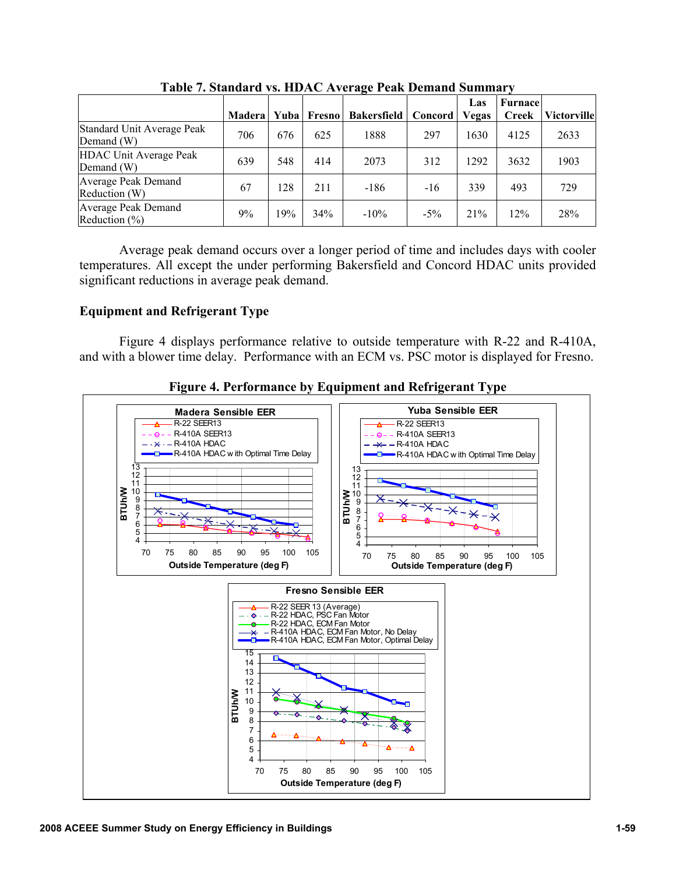|                                             | <b>Madera</b> | Yuba | Fresno | <b>Bakersfield</b> | Concord | Las<br><b>Vegas</b> | Furnace<br><b>Creek</b> | <b>Victorville</b> |
|---------------------------------------------|---------------|------|--------|--------------------|---------|---------------------|-------------------------|--------------------|
| Standard Unit Average Peak<br>Demand (W)    | 706           | 676  | 625    | 1888               | 297     | 1630                | 4125                    | 2633               |
| <b>HDAC Unit Average Peak</b><br>Demand (W) | 639           | 548  | 414    | 2073               | 312     | 1292                | 3632                    | 1903               |
| Average Peak Demand<br>Reduction (W)        | 67            | 128  | 211    | -186               | $-16$   | 339                 | 493                     | 729                |
| Average Peak Demand<br>Reduction $(\% )$    | 9%            | 19%  | 34%    | $-10\%$            | $-5\%$  | 21%                 | 12%                     | 28%                |

**Table 7. Standard vs. HDAC Average Peak Demand Summary** 

Average peak demand occurs over a longer period of time and includes days with cooler temperatures. All except the under performing Bakersfield and Concord HDAC units provided significant reductions in average peak demand.

### **Equipment and Refrigerant Type**

Figure 4 displays performance relative to outside temperature with R-22 and R-410A, and with a blower time delay. Performance with an ECM vs. PSC motor is displayed for Fresno.



**Figure 4. Performance by Equipment and Refrigerant Type**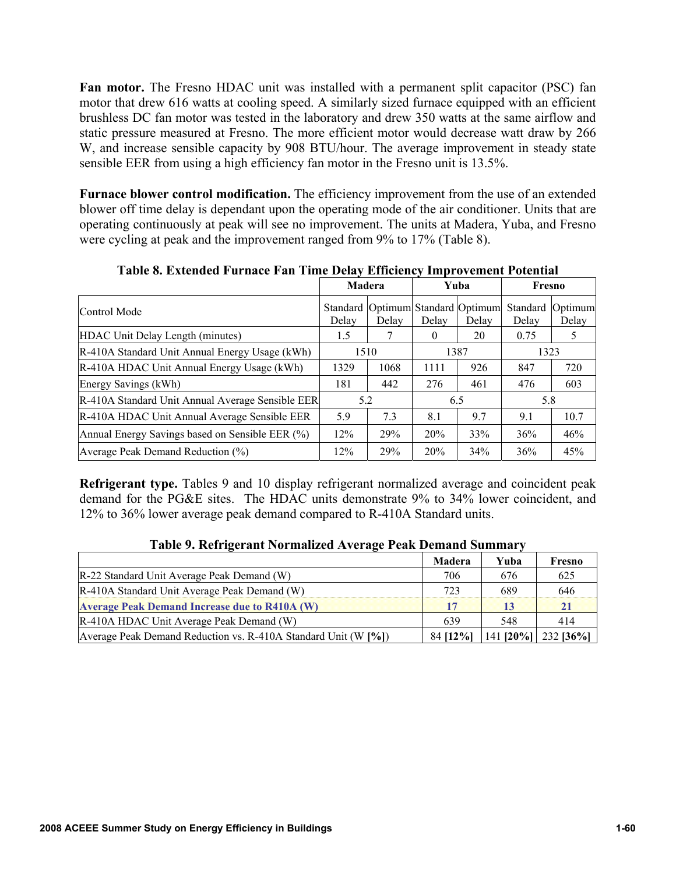**Fan motor.** The Fresno HDAC unit was installed with a permanent split capacitor (PSC) fan motor that drew 616 watts at cooling speed. A similarly sized furnace equipped with an efficient brushless DC fan motor was tested in the laboratory and drew 350 watts at the same airflow and static pressure measured at Fresno. The more efficient motor would decrease watt draw by 266 W, and increase sensible capacity by 908 BTU/hour. The average improvement in steady state sensible EER from using a high efficiency fan motor in the Fresno unit is 13.5%.

**Furnace blower control modification.** The efficiency improvement from the use of an extended blower off time delay is dependant upon the operating mode of the air conditioner. Units that are operating continuously at peak will see no improvement. The units at Madera, Yuba, and Fresno were cycling at peak and the improvement ranged from 9% to 17% (Table 8).

|                                                  | <b>Madera</b> |                                            |          | Yuba         | Fresno |                             |
|--------------------------------------------------|---------------|--------------------------------------------|----------|--------------|--------|-----------------------------|
| Control Mode                                     | Delay         | Standard Optimum Standard Optimum<br>Delay | Delay    | Delay        | Delay  | Standard   Optimum<br>Delay |
| HDAC Unit Delay Length (minutes)                 | 1.5           |                                            | $\theta$ | 20           | 0.75   | 5                           |
| R-410A Standard Unit Annual Energy Usage (kWh)   |               | 1510                                       |          | 1387<br>1323 |        |                             |
| R-410A HDAC Unit Annual Energy Usage (kWh)       | 1329          | 1068                                       | 1111     | 926          | 847    | 720                         |
| Energy Savings (kWh)                             | 181           | 442                                        | 276      | 461          | 476    | 603                         |
| R-410A Standard Unit Annual Average Sensible EER | 5.2           |                                            |          | 6.5          | 5.8    |                             |
| R-410A HDAC Unit Annual Average Sensible EER     | 5.9           | 7.3                                        | 8.1      | 9.7          | 9.1    | 10.7                        |
| Annual Energy Savings based on Sensible EER (%)  | 12%           | 29%                                        | 20%      | 33%          | 36%    | 46%                         |
| Average Peak Demand Reduction (%)                | 12%           | <b>29%</b>                                 | 20%      | 34%          | 36%    | 45%                         |

**Table 8. Extended Furnace Fan Time Delay Efficiency Improvement Potential** 

**Refrigerant type.** Tables 9 and 10 display refrigerant normalized average and coincident peak demand for the PG&E sites. The HDAC units demonstrate 9% to 34% lower coincident, and 12% to 36% lower average peak demand compared to R-410A Standard units.

|  | Table 9. Refrigerant Normalized Average Peak Demand Summary |  |  |
|--|-------------------------------------------------------------|--|--|
|  |                                                             |  |  |

|                                                                | Madera    | Yuba | Fresno                |
|----------------------------------------------------------------|-----------|------|-----------------------|
| R-22 Standard Unit Average Peak Demand (W)                     | 706       | 676  | 625                   |
| R-410A Standard Unit Average Peak Demand (W)                   | 723       | 689  | 646                   |
| <b>Average Peak Demand Increase due to R410A (W)</b>           | 17        | 13   | 21                    |
| R-410A HDAC Unit Average Peak Demand (W)                       | 639       | 548  | 414                   |
| Average Peak Demand Reduction vs. R-410A Standard Unit (W [%]) | 84 [12\%] |      | 141 [20%]   232 [36%] |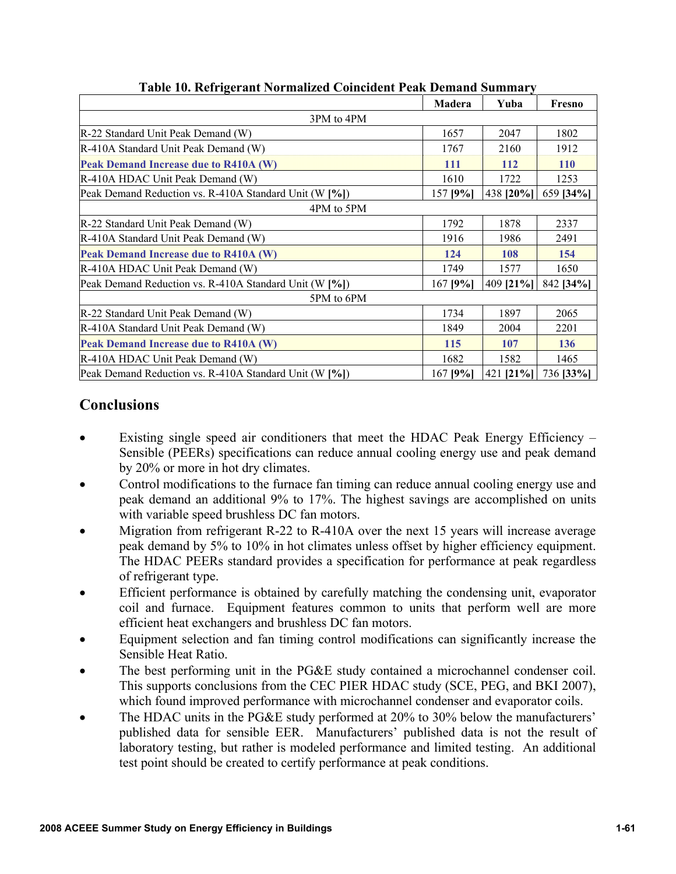|                                                        | Madera   | Yuba      | Fresno     |
|--------------------------------------------------------|----------|-----------|------------|
| 3PM to 4PM                                             |          |           |            |
| R-22 Standard Unit Peak Demand (W)                     | 1657     | 2047      | 1802       |
| R-410A Standard Unit Peak Demand (W)                   | 1767     | 2160      | 1912       |
| Peak Demand Increase due to R410A (W)                  | 111      | 112       | <b>110</b> |
| R-410A HDAC Unit Peak Demand (W)                       | 1610     | 1722      | 1253       |
| Peak Demand Reduction vs. R-410A Standard Unit (W [%]) | 157 [9%] | 438 [20%] | 659 [34%]  |
| 4PM to 5PM                                             |          |           |            |
| R-22 Standard Unit Peak Demand (W)                     | 1792     | 1878      | 2337       |
| R-410A Standard Unit Peak Demand (W)                   | 1916     | 1986      | 2491       |
| Peak Demand Increase due to R410A (W)                  | 124      | 108       | 154        |
| R-410A HDAC Unit Peak Demand (W)                       | 1749     | 1577      | 1650       |
| Peak Demand Reduction vs. R-410A Standard Unit (W [%]) | 167 [9%] | 409 [21%] | 842 [34%]  |
| 5PM to 6PM                                             |          |           |            |
| R-22 Standard Unit Peak Demand (W)                     | 1734     | 1897      | 2065       |
| R-410A Standard Unit Peak Demand (W)                   | 1849     | 2004      | 2201       |
| Peak Demand Increase due to R410A (W)                  | 115      | 107       | 136        |
| R-410A HDAC Unit Peak Demand (W)                       | 1682     | 1582      | 1465       |
| Peak Demand Reduction vs. R-410A Standard Unit (W [%]) | 167 [9%] | 421 [21%] | 736 [33%]  |

## **Table 10. Refrigerant Normalized Coincident Peak Demand Summary**

# **Conclusions**

- Existing single speed air conditioners that meet the HDAC Peak Energy Efficiency Sensible (PEERs) specifications can reduce annual cooling energy use and peak demand by 20% or more in hot dry climates.
- Control modifications to the furnace fan timing can reduce annual cooling energy use and peak demand an additional 9% to 17%. The highest savings are accomplished on units with variable speed brushless DC fan motors.
- Migration from refrigerant R-22 to R-410A over the next 15 years will increase average peak demand by 5% to 10% in hot climates unless offset by higher efficiency equipment. The HDAC PEERs standard provides a specification for performance at peak regardless of refrigerant type.
- Efficient performance is obtained by carefully matching the condensing unit, evaporator coil and furnace. Equipment features common to units that perform well are more efficient heat exchangers and brushless DC fan motors.
- Equipment selection and fan timing control modifications can significantly increase the Sensible Heat Ratio.
- The best performing unit in the PG&E study contained a microchannel condenser coil. This supports conclusions from the CEC PIER HDAC study (SCE, PEG, and BKI 2007), which found improved performance with microchannel condenser and evaporator coils.
- The HDAC units in the PG&E study performed at 20% to 30% below the manufacturers' published data for sensible EER. Manufacturers' published data is not the result of laboratory testing, but rather is modeled performance and limited testing. An additional test point should be created to certify performance at peak conditions.